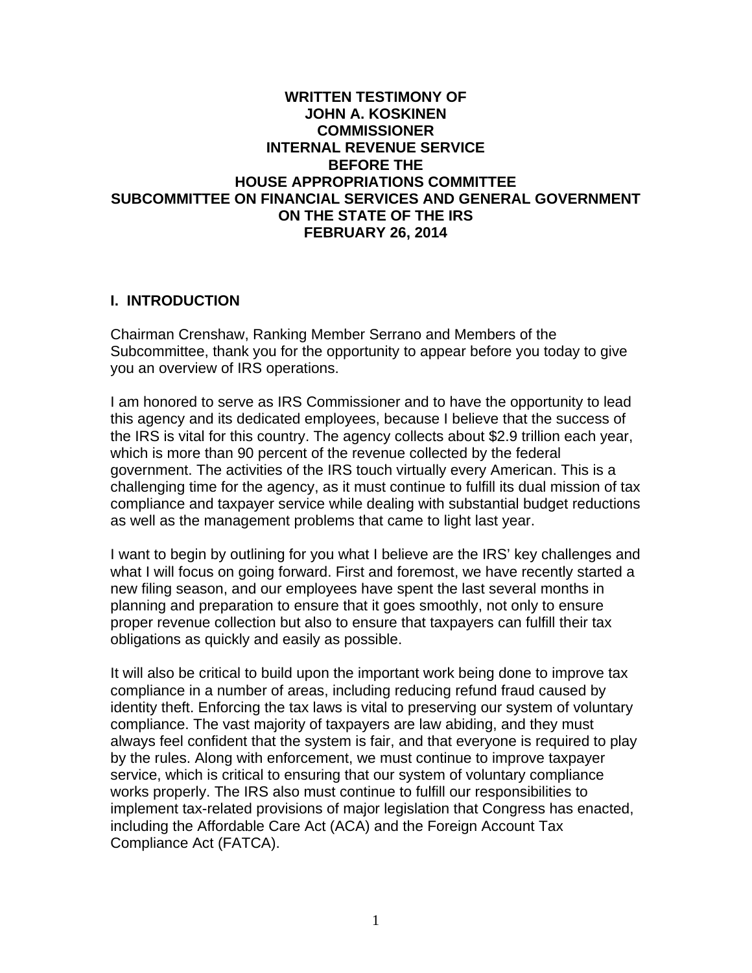### **WRITTEN TESTIMONY OF JOHN A. KOSKINEN COMMISSIONER INTERNAL REVENUE SERVICE BEFORE THE HOUSE APPROPRIATIONS COMMITTEE SUBCOMMITTEE ON FINANCIAL SERVICES AND GENERAL GOVERNMENT ON THE STATE OF THE IRS FEBRUARY 26, 2014**

#### **I. INTRODUCTION**

Chairman Crenshaw, Ranking Member Serrano and Members of the Subcommittee, thank you for the opportunity to appear before you today to give you an overview of IRS operations.

I am honored to serve as IRS Commissioner and to have the opportunity to lead this agency and its dedicated employees, because I believe that the success of the IRS is vital for this country. The agency collects about \$2.9 trillion each year, which is more than 90 percent of the revenue collected by the federal government. The activities of the IRS touch virtually every American. This is a challenging time for the agency, as it must continue to fulfill its dual mission of tax compliance and taxpayer service while dealing with substantial budget reductions as well as the management problems that came to light last year.

I want to begin by outlining for you what I believe are the IRS' key challenges and what I will focus on going forward. First and foremost, we have recently started a new filing season, and our employees have spent the last several months in planning and preparation to ensure that it goes smoothly, not only to ensure proper revenue collection but also to ensure that taxpayers can fulfill their tax obligations as quickly and easily as possible.

It will also be critical to build upon the important work being done to improve tax compliance in a number of areas, including reducing refund fraud caused by identity theft. Enforcing the tax laws is vital to preserving our system of voluntary compliance. The vast majority of taxpayers are law abiding, and they must always feel confident that the system is fair, and that everyone is required to play by the rules. Along with enforcement, we must continue to improve taxpayer service, which is critical to ensuring that our system of voluntary compliance works properly. The IRS also must continue to fulfill our responsibilities to implement tax-related provisions of major legislation that Congress has enacted, including the Affordable Care Act (ACA) and the Foreign Account Tax Compliance Act (FATCA).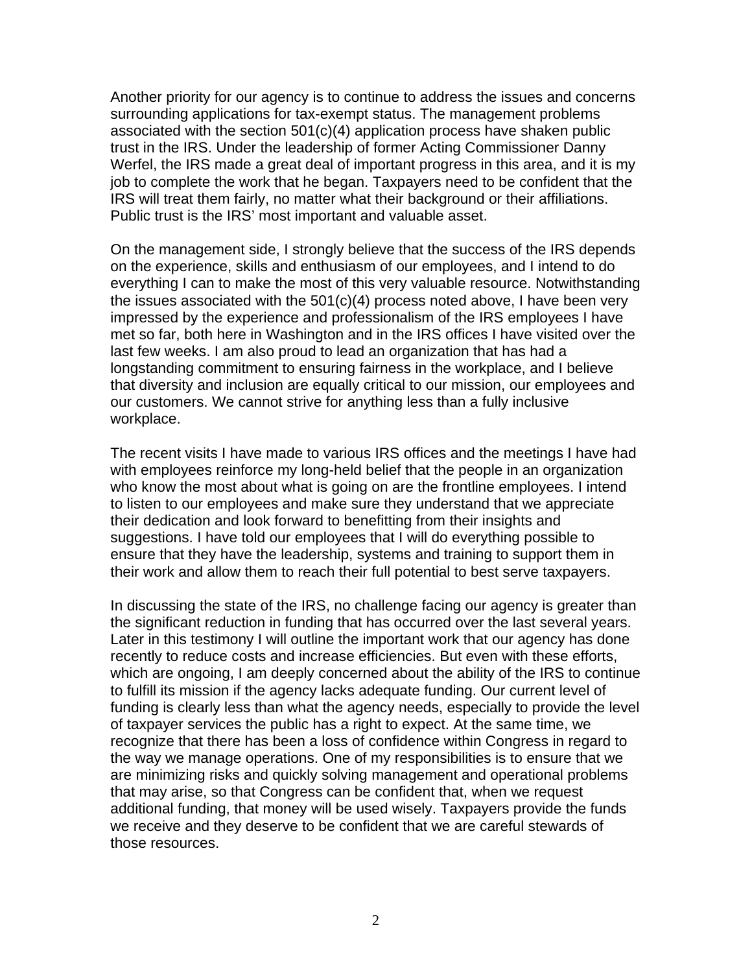Another priority for our agency is to continue to address the issues and concerns surrounding applications for tax-exempt status. The management problems associated with the section 501(c)(4) application process have shaken public trust in the IRS. Under the leadership of former Acting Commissioner Danny Werfel, the IRS made a great deal of important progress in this area, and it is my job to complete the work that he began. Taxpayers need to be confident that the IRS will treat them fairly, no matter what their background or their affiliations. Public trust is the IRS' most important and valuable asset.

On the management side, I strongly believe that the success of the IRS depends on the experience, skills and enthusiasm of our employees, and I intend to do everything I can to make the most of this very valuable resource. Notwithstanding the issues associated with the 501(c)(4) process noted above, I have been very impressed by the experience and professionalism of the IRS employees I have met so far, both here in Washington and in the IRS offices I have visited over the last few weeks. I am also proud to lead an organization that has had a longstanding commitment to ensuring fairness in the workplace, and I believe that diversity and inclusion are equally critical to our mission, our employees and our customers. We cannot strive for anything less than a fully inclusive workplace.

The recent visits I have made to various IRS offices and the meetings I have had with employees reinforce my long-held belief that the people in an organization who know the most about what is going on are the frontline employees. I intend to listen to our employees and make sure they understand that we appreciate their dedication and look forward to benefitting from their insights and suggestions. I have told our employees that I will do everything possible to ensure that they have the leadership, systems and training to support them in their work and allow them to reach their full potential to best serve taxpayers.

In discussing the state of the IRS, no challenge facing our agency is greater than the significant reduction in funding that has occurred over the last several years. Later in this testimony I will outline the important work that our agency has done recently to reduce costs and increase efficiencies. But even with these efforts, which are ongoing, I am deeply concerned about the ability of the IRS to continue to fulfill its mission if the agency lacks adequate funding. Our current level of funding is clearly less than what the agency needs, especially to provide the level of taxpayer services the public has a right to expect. At the same time, we recognize that there has been a loss of confidence within Congress in regard to the way we manage operations. One of my responsibilities is to ensure that we are minimizing risks and quickly solving management and operational problems that may arise, so that Congress can be confident that, when we request additional funding, that money will be used wisely. Taxpayers provide the funds we receive and they deserve to be confident that we are careful stewards of those resources.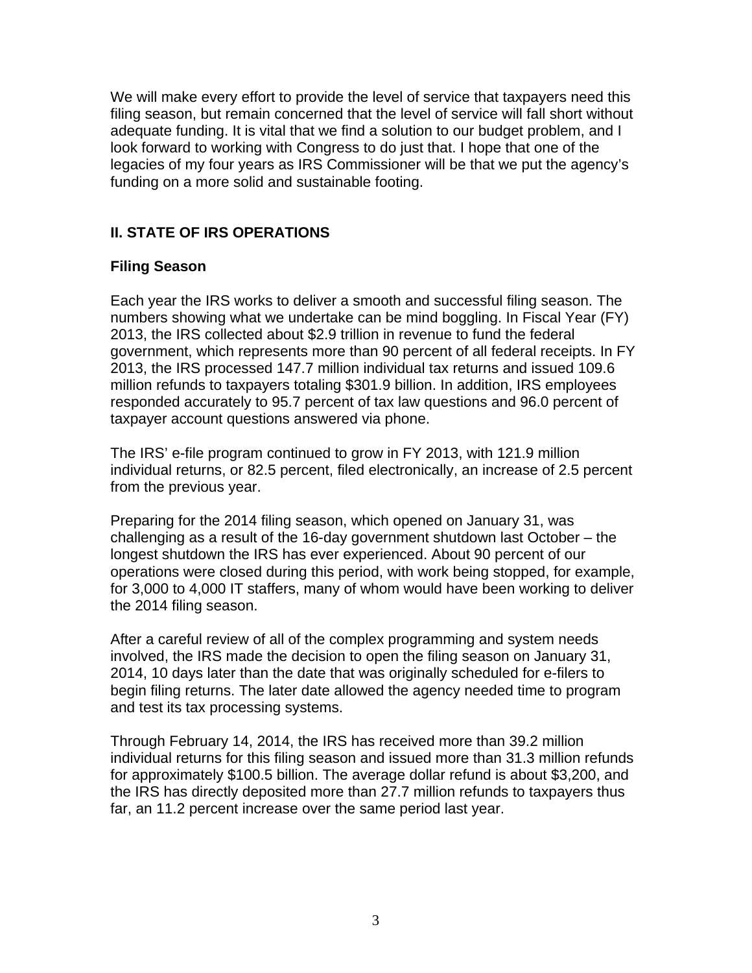We will make every effort to provide the level of service that taxpayers need this filing season, but remain concerned that the level of service will fall short without adequate funding. It is vital that we find a solution to our budget problem, and I look forward to working with Congress to do just that. I hope that one of the legacies of my four years as IRS Commissioner will be that we put the agency's funding on a more solid and sustainable footing.

# **II. STATE OF IRS OPERATIONS**

### **Filing Season**

Each year the IRS works to deliver a smooth and successful filing season. The numbers showing what we undertake can be mind boggling. In Fiscal Year (FY) 2013, the IRS collected about \$2.9 trillion in revenue to fund the federal government, which represents more than 90 percent of all federal receipts. In FY 2013, the IRS processed 147.7 million individual tax returns and issued 109.6 million refunds to taxpayers totaling \$301.9 billion. In addition, IRS employees responded accurately to 95.7 percent of tax law questions and 96.0 percent of taxpayer account questions answered via phone.

The IRS' e-file program continued to grow in FY 2013, with 121.9 million individual returns, or 82.5 percent, filed electronically, an increase of 2.5 percent from the previous year.

Preparing for the 2014 filing season, which opened on January 31, was challenging as a result of the 16-day government shutdown last October – the longest shutdown the IRS has ever experienced. About 90 percent of our operations were closed during this period, with work being stopped, for example, for 3,000 to 4,000 IT staffers, many of whom would have been working to deliver the 2014 filing season.

After a careful review of all of the complex programming and system needs involved, the IRS made the decision to open the filing season on January 31, 2014, 10 days later than the date that was originally scheduled for e-filers to begin filing returns. The later date allowed the agency needed time to program and test its tax processing systems.

Through February 14, 2014, the IRS has received more than 39.2 million individual returns for this filing season and issued more than 31.3 million refunds for approximately \$100.5 billion. The average dollar refund is about \$3,200, and the IRS has directly deposited more than 27.7 million refunds to taxpayers thus far, an 11.2 percent increase over the same period last year.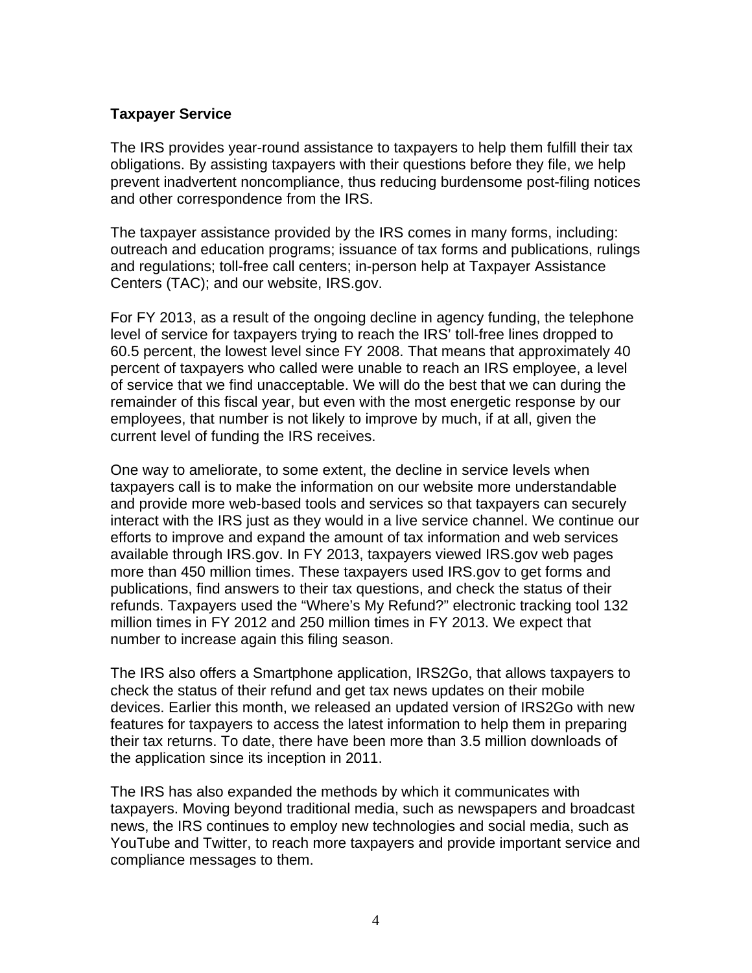### **Taxpayer Service**

The IRS provides year-round assistance to taxpayers to help them fulfill their tax obligations. By assisting taxpayers with their questions before they file, we help prevent inadvertent noncompliance, thus reducing burdensome post-filing notices and other correspondence from the IRS.

The taxpayer assistance provided by the IRS comes in many forms, including: outreach and education programs; issuance of tax forms and publications, rulings and regulations; toll-free call centers; in-person help at Taxpayer Assistance Centers (TAC); and our website, IRS.gov.

For FY 2013, as a result of the ongoing decline in agency funding, the telephone level of service for taxpayers trying to reach the IRS' toll-free lines dropped to 60.5 percent, the lowest level since FY 2008. That means that approximately 40 percent of taxpayers who called were unable to reach an IRS employee, a level of service that we find unacceptable. We will do the best that we can during the remainder of this fiscal year, but even with the most energetic response by our employees, that number is not likely to improve by much, if at all, given the current level of funding the IRS receives.

One way to ameliorate, to some extent, the decline in service levels when taxpayers call is to make the information on our website more understandable and provide more web-based tools and services so that taxpayers can securely interact with the IRS just as they would in a live service channel. We continue our efforts to improve and expand the amount of tax information and web services available through IRS.gov. In FY 2013, taxpayers viewed IRS.gov web pages more than 450 million times. These taxpayers used IRS.gov to get forms and publications, find answers to their tax questions, and check the status of their refunds. Taxpayers used the "Where's My Refund?" electronic tracking tool 132 million times in FY 2012 and 250 million times in FY 2013. We expect that number to increase again this filing season.

The IRS also offers a Smartphone application, IRS2Go, that allows taxpayers to check the status of their refund and get tax news updates on their mobile devices. Earlier this month, we released an updated version of IRS2Go with new features for taxpayers to access the latest information to help them in preparing their tax returns. To date, there have been more than 3.5 million downloads of the application since its inception in 2011.

The IRS has also expanded the methods by which it communicates with taxpayers. Moving beyond traditional media, such as newspapers and broadcast news, the IRS continues to employ new technologies and social media, such as YouTube and Twitter, to reach more taxpayers and provide important service and compliance messages to them.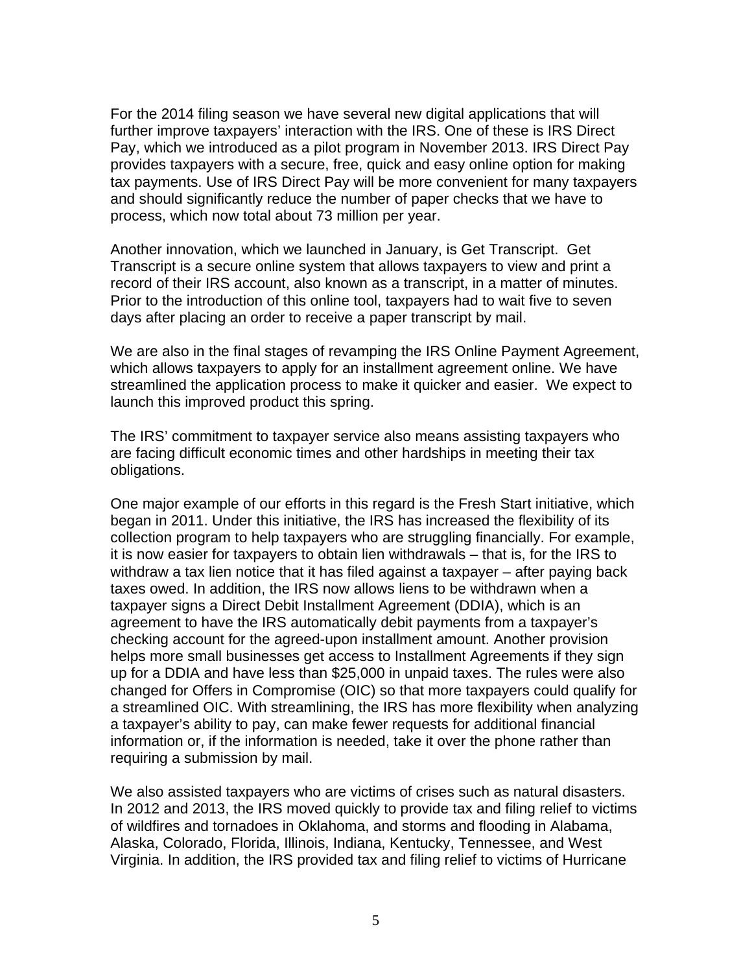For the 2014 filing season we have several new digital applications that will further improve taxpayers' interaction with the IRS. One of these is IRS Direct Pay, which we introduced as a pilot program in November 2013. IRS Direct Pay provides taxpayers with a secure, free, quick and easy online option for making tax payments. Use of IRS Direct Pay will be more convenient for many taxpayers and should significantly reduce the number of paper checks that we have to process, which now total about 73 million per year.

Another innovation, which we launched in January, is Get Transcript. Get Transcript is a secure online system that allows taxpayers to view and print a record of their IRS account, also known as a transcript, in a matter of minutes. Prior to the introduction of this online tool, taxpayers had to wait five to seven days after placing an order to receive a paper transcript by mail.

We are also in the final stages of revamping the IRS Online Payment Agreement, which allows taxpayers to apply for an installment agreement online. We have streamlined the application process to make it quicker and easier. We expect to launch this improved product this spring.

The IRS' commitment to taxpayer service also means assisting taxpayers who are facing difficult economic times and other hardships in meeting their tax obligations.

One major example of our efforts in this regard is the Fresh Start initiative, which began in 2011. Under this initiative, the IRS has increased the flexibility of its collection program to help taxpayers who are struggling financially. For example, it is now easier for taxpayers to obtain lien withdrawals – that is, for the IRS to withdraw a tax lien notice that it has filed against a taxpayer – after paying back taxes owed. In addition, the IRS now allows liens to be withdrawn when a taxpayer signs a Direct Debit Installment Agreement (DDIA), which is an agreement to have the IRS automatically debit payments from a taxpayer's checking account for the agreed-upon installment amount. Another provision helps more small businesses get access to Installment Agreements if they sign up for a DDIA and have less than \$25,000 in unpaid taxes. The rules were also changed for Offers in Compromise (OIC) so that more taxpayers could qualify for a streamlined OIC. With streamlining, the IRS has more flexibility when analyzing a taxpayer's ability to pay, can make fewer requests for additional financial information or, if the information is needed, take it over the phone rather than requiring a submission by mail.

We also assisted taxpayers who are victims of crises such as natural disasters. In 2012 and 2013, the IRS moved quickly to provide tax and filing relief to victims of wildfires and tornadoes in Oklahoma, and storms and flooding in Alabama, Alaska, Colorado, Florida, Illinois, Indiana, Kentucky, Tennessee, and West Virginia. In addition, the IRS provided tax and filing relief to victims of Hurricane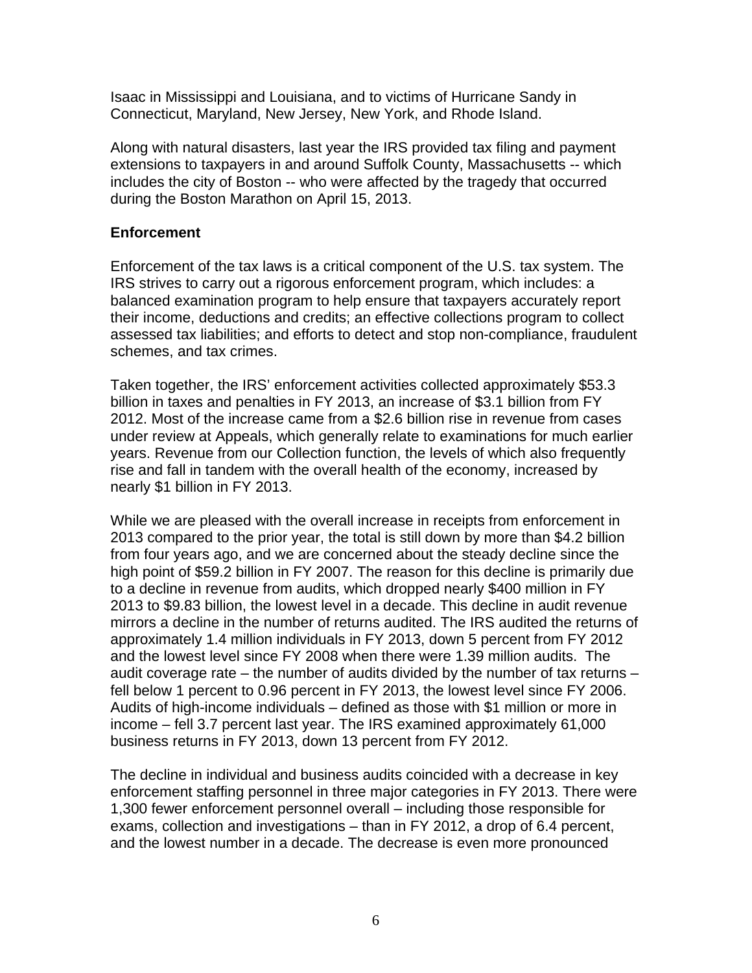Isaac in Mississippi and Louisiana, and to victims of Hurricane Sandy in Connecticut, Maryland, New Jersey, New York, and Rhode Island.

Along with natural disasters, last year the IRS provided tax filing and payment extensions to taxpayers in and around Suffolk County, Massachusetts -- which includes the city of Boston -- who were affected by the tragedy that occurred during the Boston Marathon on April 15, 2013.

### **Enforcement**

Enforcement of the tax laws is a critical component of the U.S. tax system. The IRS strives to carry out a rigorous enforcement program, which includes: a balanced examination program to help ensure that taxpayers accurately report their income, deductions and credits; an effective collections program to collect assessed tax liabilities; and efforts to detect and stop non-compliance, fraudulent schemes, and tax crimes.

Taken together, the IRS' enforcement activities collected approximately \$53.3 billion in taxes and penalties in FY 2013, an increase of \$3.1 billion from FY 2012. Most of the increase came from a \$2.6 billion rise in revenue from cases under review at Appeals, which generally relate to examinations for much earlier years. Revenue from our Collection function, the levels of which also frequently rise and fall in tandem with the overall health of the economy, increased by nearly \$1 billion in FY 2013.

While we are pleased with the overall increase in receipts from enforcement in 2013 compared to the prior year, the total is still down by more than \$4.2 billion from four years ago, and we are concerned about the steady decline since the high point of \$59.2 billion in FY 2007. The reason for this decline is primarily due to a decline in revenue from audits, which dropped nearly \$400 million in FY 2013 to \$9.83 billion, the lowest level in a decade. This decline in audit revenue mirrors a decline in the number of returns audited. The IRS audited the returns of approximately 1.4 million individuals in FY 2013, down 5 percent from FY 2012 and the lowest level since FY 2008 when there were 1.39 million audits. The audit coverage rate – the number of audits divided by the number of tax returns – fell below 1 percent to 0.96 percent in FY 2013, the lowest level since FY 2006. Audits of high-income individuals – defined as those with \$1 million or more in income – fell 3.7 percent last year. The IRS examined approximately 61,000 business returns in FY 2013, down 13 percent from FY 2012.

The decline in individual and business audits coincided with a decrease in key enforcement staffing personnel in three major categories in FY 2013. There were 1,300 fewer enforcement personnel overall – including those responsible for exams, collection and investigations – than in FY 2012, a drop of 6.4 percent, and the lowest number in a decade. The decrease is even more pronounced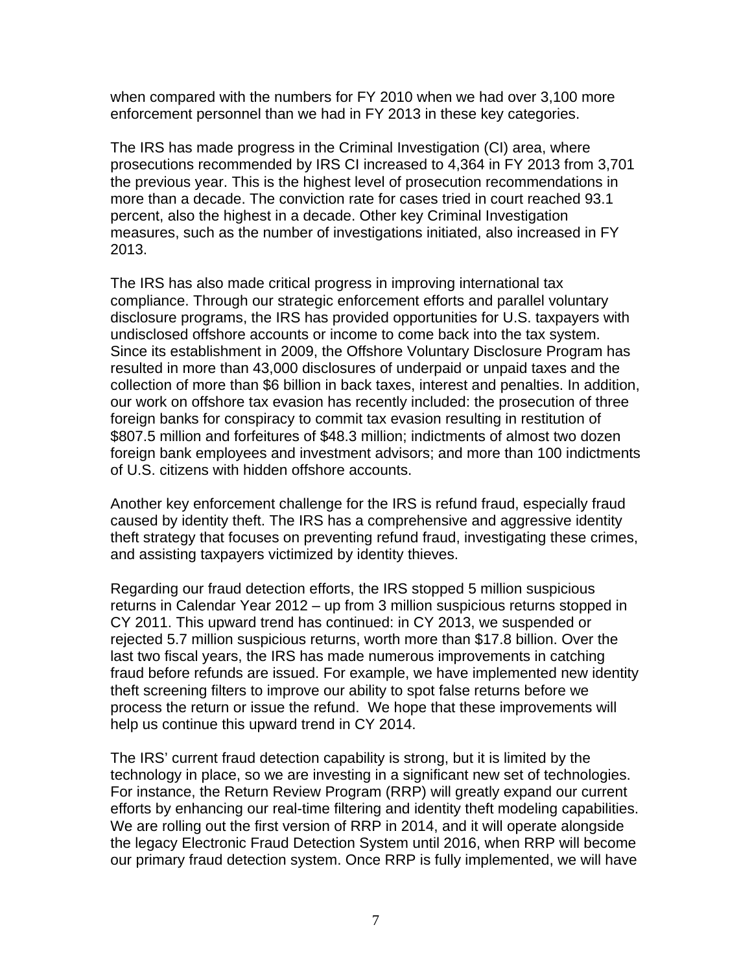when compared with the numbers for FY 2010 when we had over 3,100 more enforcement personnel than we had in FY 2013 in these key categories.

The IRS has made progress in the Criminal Investigation (CI) area, where prosecutions recommended by IRS CI increased to 4,364 in FY 2013 from 3,701 the previous year. This is the highest level of prosecution recommendations in more than a decade. The conviction rate for cases tried in court reached 93.1 percent, also the highest in a decade. Other key Criminal Investigation measures, such as the number of investigations initiated, also increased in FY 2013.

The IRS has also made critical progress in improving international tax compliance. Through our strategic enforcement efforts and parallel voluntary disclosure programs, the IRS has provided opportunities for U.S. taxpayers with undisclosed offshore accounts or income to come back into the tax system. Since its establishment in 2009, the Offshore Voluntary Disclosure Program has resulted in more than 43,000 disclosures of underpaid or unpaid taxes and the collection of more than \$6 billion in back taxes, interest and penalties. In addition, our work on offshore tax evasion has recently included: the prosecution of three foreign banks for conspiracy to commit tax evasion resulting in restitution of \$807.5 million and forfeitures of \$48.3 million; indictments of almost two dozen foreign bank employees and investment advisors; and more than 100 indictments of U.S. citizens with hidden offshore accounts.

Another key enforcement challenge for the IRS is refund fraud, especially fraud caused by identity theft. The IRS has a comprehensive and aggressive identity theft strategy that focuses on preventing refund fraud, investigating these crimes, and assisting taxpayers victimized by identity thieves.

Regarding our fraud detection efforts, the IRS stopped 5 million suspicious returns in Calendar Year 2012 – up from 3 million suspicious returns stopped in CY 2011. This upward trend has continued: in CY 2013, we suspended or rejected 5.7 million suspicious returns, worth more than \$17.8 billion. Over the last two fiscal years, the IRS has made numerous improvements in catching fraud before refunds are issued. For example, we have implemented new identity theft screening filters to improve our ability to spot false returns before we process the return or issue the refund. We hope that these improvements will help us continue this upward trend in CY 2014.

The IRS' current fraud detection capability is strong, but it is limited by the technology in place, so we are investing in a significant new set of technologies. For instance, the Return Review Program (RRP) will greatly expand our current efforts by enhancing our real-time filtering and identity theft modeling capabilities. We are rolling out the first version of RRP in 2014, and it will operate alongside the legacy Electronic Fraud Detection System until 2016, when RRP will become our primary fraud detection system. Once RRP is fully implemented, we will have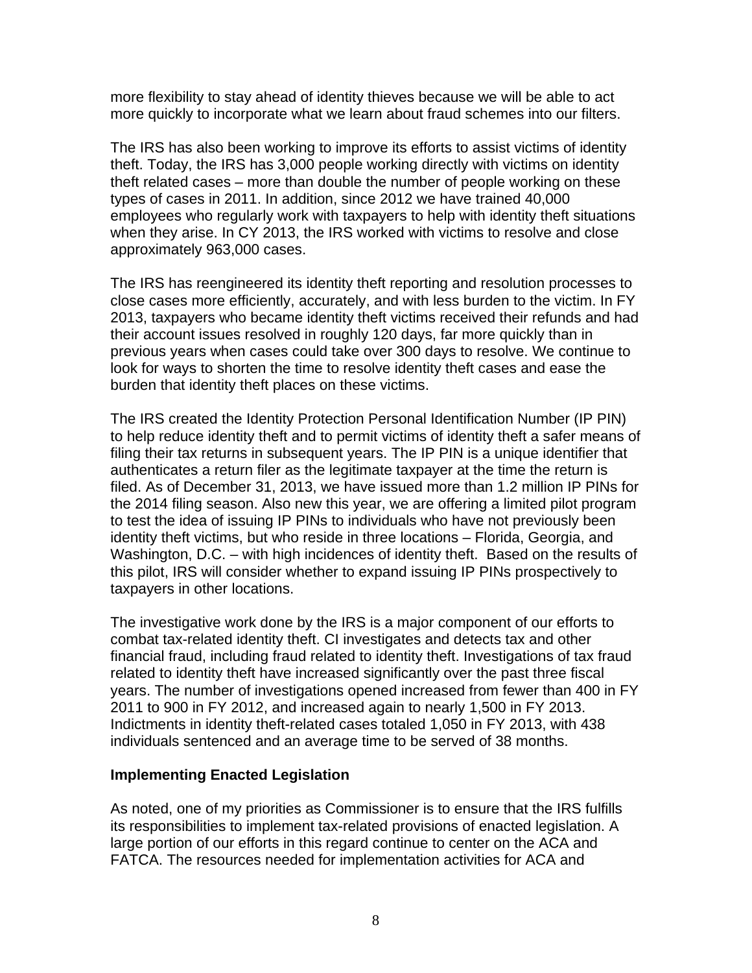more flexibility to stay ahead of identity thieves because we will be able to act more quickly to incorporate what we learn about fraud schemes into our filters.

The IRS has also been working to improve its efforts to assist victims of identity theft. Today, the IRS has 3,000 people working directly with victims on identity theft related cases – more than double the number of people working on these types of cases in 2011. In addition, since 2012 we have trained 40,000 employees who regularly work with taxpayers to help with identity theft situations when they arise. In CY 2013, the IRS worked with victims to resolve and close approximately 963,000 cases.

The IRS has reengineered its identity theft reporting and resolution processes to close cases more efficiently, accurately, and with less burden to the victim. In FY 2013, taxpayers who became identity theft victims received their refunds and had their account issues resolved in roughly 120 days, far more quickly than in previous years when cases could take over 300 days to resolve. We continue to look for ways to shorten the time to resolve identity theft cases and ease the burden that identity theft places on these victims.

The IRS created the Identity Protection Personal Identification Number (IP PIN) to help reduce identity theft and to permit victims of identity theft a safer means of filing their tax returns in subsequent years. The IP PIN is a unique identifier that authenticates a return filer as the legitimate taxpayer at the time the return is filed. As of December 31, 2013, we have issued more than 1.2 million IP PINs for the 2014 filing season. Also new this year, we are offering a limited pilot program to test the idea of issuing IP PINs to individuals who have not previously been identity theft victims, but who reside in three locations – Florida, Georgia, and Washington, D.C. – with high incidences of identity theft. Based on the results of this pilot, IRS will consider whether to expand issuing IP PINs prospectively to taxpayers in other locations.

The investigative work done by the IRS is a major component of our efforts to combat tax-related identity theft. CI investigates and detects tax and other financial fraud, including fraud related to identity theft. Investigations of tax fraud related to identity theft have increased significantly over the past three fiscal years. The number of investigations opened increased from fewer than 400 in FY 2011 to 900 in FY 2012, and increased again to nearly 1,500 in FY 2013. Indictments in identity theft-related cases totaled 1,050 in FY 2013, with 438 individuals sentenced and an average time to be served of 38 months.

#### **Implementing Enacted Legislation**

As noted, one of my priorities as Commissioner is to ensure that the IRS fulfills its responsibilities to implement tax-related provisions of enacted legislation. A large portion of our efforts in this regard continue to center on the ACA and FATCA. The resources needed for implementation activities for ACA and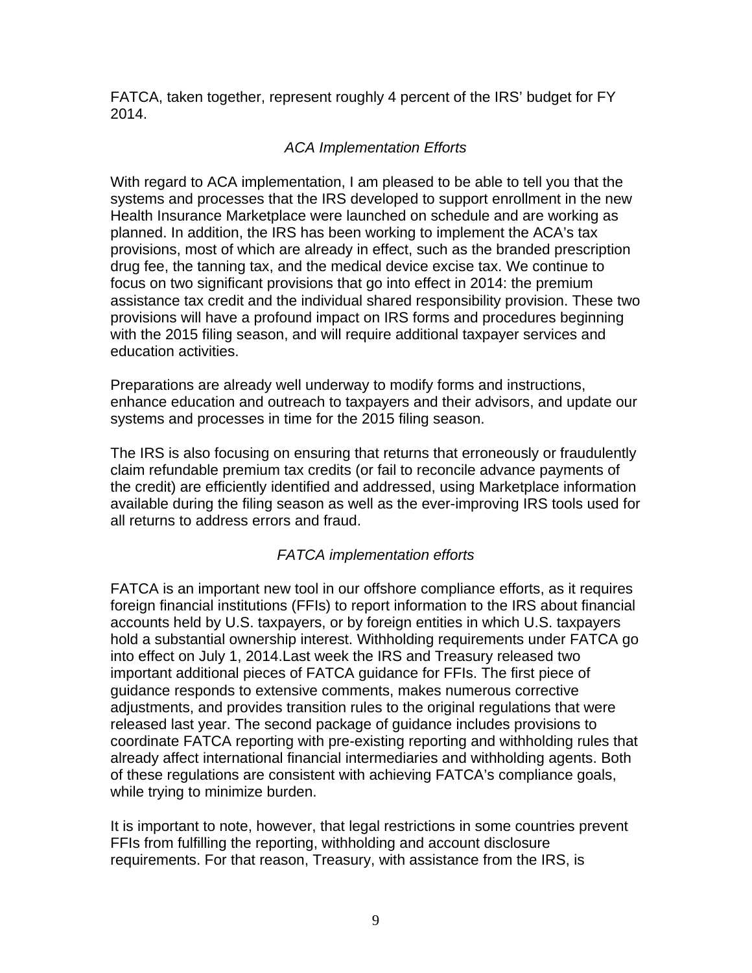FATCA, taken together, represent roughly 4 percent of the IRS' budget for FY 2014.

# *ACA Implementation Efforts*

With regard to ACA implementation, I am pleased to be able to tell you that the systems and processes that the IRS developed to support enrollment in the new Health Insurance Marketplace were launched on schedule and are working as planned. In addition, the IRS has been working to implement the ACA's tax provisions, most of which are already in effect, such as the branded prescription drug fee, the tanning tax, and the medical device excise tax. We continue to focus on two significant provisions that go into effect in 2014: the premium assistance tax credit and the individual shared responsibility provision. These two provisions will have a profound impact on IRS forms and procedures beginning with the 2015 filing season, and will require additional taxpayer services and education activities.

Preparations are already well underway to modify forms and instructions, enhance education and outreach to taxpayers and their advisors, and update our systems and processes in time for the 2015 filing season.

The IRS is also focusing on ensuring that returns that erroneously or fraudulently claim refundable premium tax credits (or fail to reconcile advance payments of the credit) are efficiently identified and addressed, using Marketplace information available during the filing season as well as the ever-improving IRS tools used for all returns to address errors and fraud.

# *FATCA implementation efforts*

FATCA is an important new tool in our offshore compliance efforts, as it requires foreign financial institutions (FFIs) to report information to the IRS about financial accounts held by U.S. taxpayers, or by foreign entities in which U.S. taxpayers hold a substantial ownership interest. Withholding requirements under FATCA go into effect on July 1, 2014.Last week the IRS and Treasury released two important additional pieces of FATCA guidance for FFIs. The first piece of guidance responds to extensive comments, makes numerous corrective adjustments, and provides transition rules to the original regulations that were released last year. The second package of guidance includes provisions to coordinate FATCA reporting with pre-existing reporting and withholding rules that already affect international financial intermediaries and withholding agents. Both of these regulations are consistent with achieving FATCA's compliance goals, while trying to minimize burden.

It is important to note, however, that legal restrictions in some countries prevent FFIs from fulfilling the reporting, withholding and account disclosure requirements. For that reason, Treasury, with assistance from the IRS, is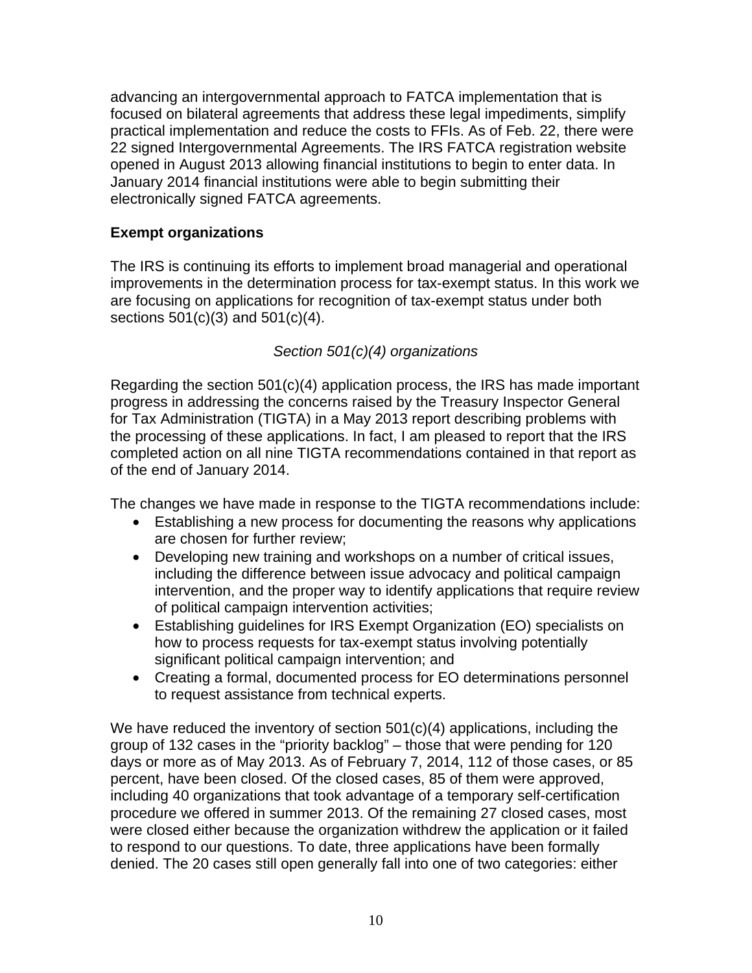advancing an intergovernmental approach to FATCA implementation that is focused on bilateral agreements that address these legal impediments, simplify practical implementation and reduce the costs to FFIs. As of Feb. 22, there were 22 signed Intergovernmental Agreements. The IRS FATCA registration website opened in August 2013 allowing financial institutions to begin to enter data. In January 2014 financial institutions were able to begin submitting their electronically signed FATCA agreements.

# **Exempt organizations**

The IRS is continuing its efforts to implement broad managerial and operational improvements in the determination process for tax-exempt status. In this work we are focusing on applications for recognition of tax-exempt status under both sections 501(c)(3) and 501(c)(4).

# *Section 501(c)(4) organizations*

Regarding the section 501(c)(4) application process, the IRS has made important progress in addressing the concerns raised by the Treasury Inspector General for Tax Administration (TIGTA) in a May 2013 report describing problems with the processing of these applications. In fact, I am pleased to report that the IRS completed action on all nine TIGTA recommendations contained in that report as of the end of January 2014.

The changes we have made in response to the TIGTA recommendations include:

- Establishing a new process for documenting the reasons why applications are chosen for further review;
- Developing new training and workshops on a number of critical issues, including the difference between issue advocacy and political campaign intervention, and the proper way to identify applications that require review of political campaign intervention activities;
- Establishing guidelines for IRS Exempt Organization (EO) specialists on how to process requests for tax-exempt status involving potentially significant political campaign intervention; and
- Creating a formal, documented process for EO determinations personnel to request assistance from technical experts.

We have reduced the inventory of section 501(c)(4) applications, including the group of 132 cases in the "priority backlog" – those that were pending for 120 days or more as of May 2013. As of February 7, 2014, 112 of those cases, or 85 percent, have been closed. Of the closed cases, 85 of them were approved, including 40 organizations that took advantage of a temporary self-certification procedure we offered in summer 2013. Of the remaining 27 closed cases, most were closed either because the organization withdrew the application or it failed to respond to our questions. To date, three applications have been formally denied. The 20 cases still open generally fall into one of two categories: either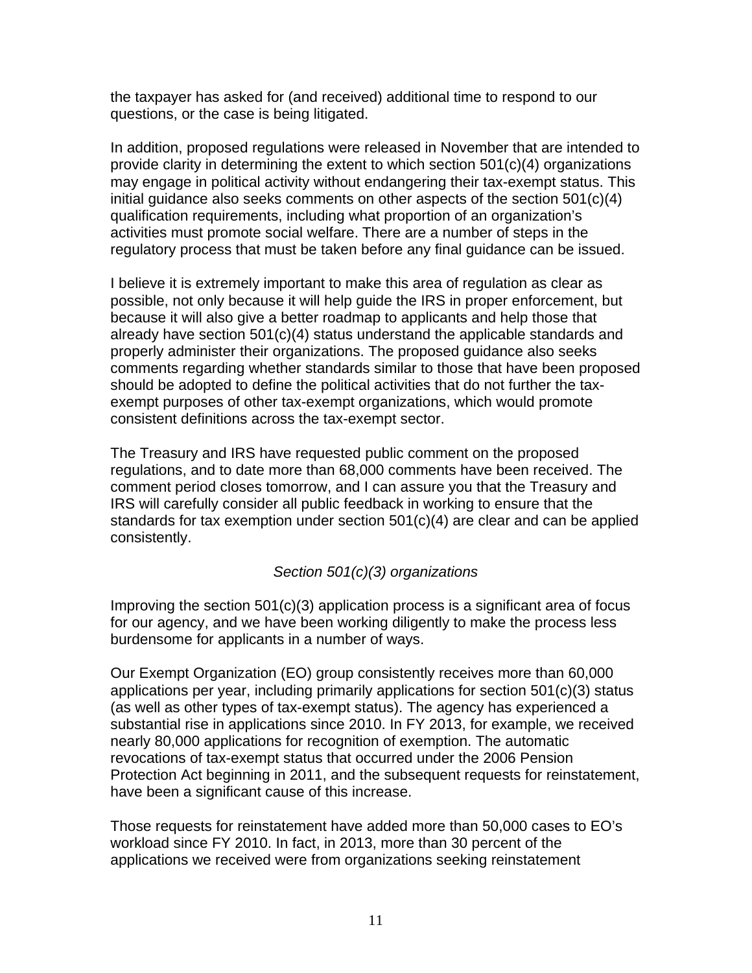the taxpayer has asked for (and received) additional time to respond to our questions, or the case is being litigated.

In addition, proposed regulations were released in November that are intended to provide clarity in determining the extent to which section 501(c)(4) organizations may engage in political activity without endangering their tax-exempt status. This initial guidance also seeks comments on other aspects of the section 501(c)(4) qualification requirements, including what proportion of an organization's activities must promote social welfare. There are a number of steps in the regulatory process that must be taken before any final guidance can be issued.

I believe it is extremely important to make this area of regulation as clear as possible, not only because it will help guide the IRS in proper enforcement, but because it will also give a better roadmap to applicants and help those that already have section 501(c)(4) status understand the applicable standards and properly administer their organizations. The proposed guidance also seeks comments regarding whether standards similar to those that have been proposed should be adopted to define the political activities that do not further the taxexempt purposes of other tax-exempt organizations, which would promote consistent definitions across the tax-exempt sector.

The Treasury and IRS have requested public comment on the proposed regulations, and to date more than 68,000 comments have been received. The comment period closes tomorrow, and I can assure you that the Treasury and IRS will carefully consider all public feedback in working to ensure that the standards for tax exemption under section 501(c)(4) are clear and can be applied consistently.

### *Section 501(c)(3) organizations*

Improving the section 501(c)(3) application process is a significant area of focus for our agency, and we have been working diligently to make the process less burdensome for applicants in a number of ways.

Our Exempt Organization (EO) group consistently receives more than 60,000 applications per year, including primarily applications for section 501(c)(3) status (as well as other types of tax-exempt status). The agency has experienced a substantial rise in applications since 2010. In FY 2013, for example, we received nearly 80,000 applications for recognition of exemption. The automatic revocations of tax-exempt status that occurred under the 2006 Pension Protection Act beginning in 2011, and the subsequent requests for reinstatement, have been a significant cause of this increase.

Those requests for reinstatement have added more than 50,000 cases to EO's workload since FY 2010. In fact, in 2013, more than 30 percent of the applications we received were from organizations seeking reinstatement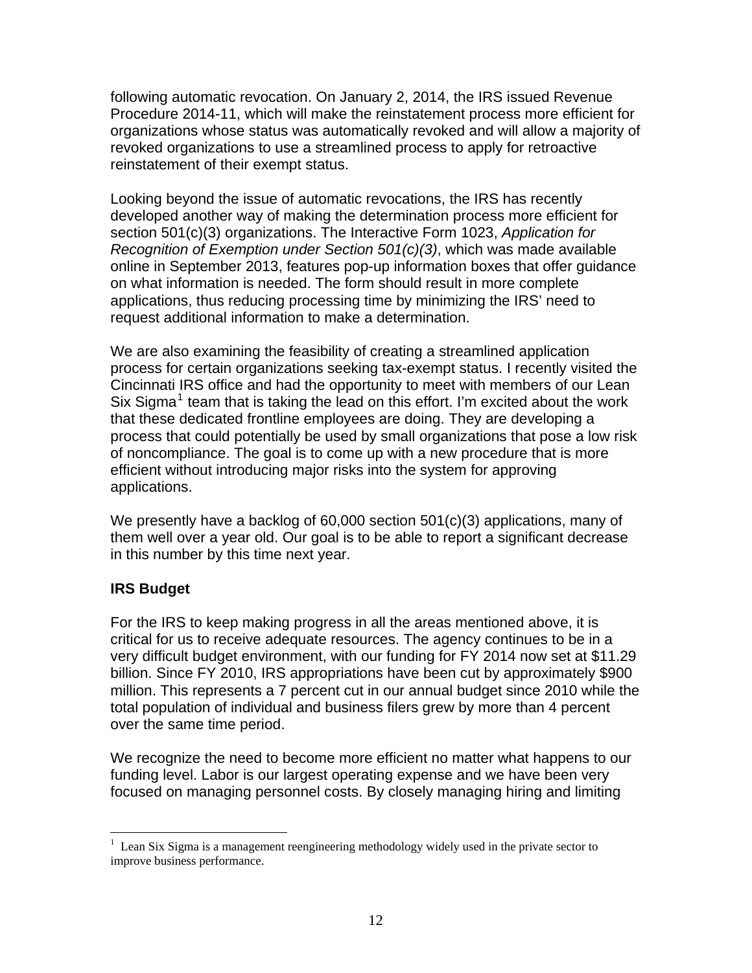following automatic revocation. On January 2, 2014, the IRS issued Revenue Procedure 2014-11, which will make the reinstatement process more efficient for organizations whose status was automatically revoked and will allow a majority of revoked organizations to use a streamlined process to apply for retroactive reinstatement of their exempt status.

Looking beyond the issue of automatic revocations, the IRS has recently developed another way of making the determination process more efficient for section 501(c)(3) organizations. The Interactive Form 1023, *Application for Recognition of Exemption under Section 501(c)(3)*, which was made available online in September 2013, features pop-up information boxes that offer guidance on what information is needed. The form should result in more complete applications, thus reducing processing time by minimizing the IRS' need to request additional information to make a determination.

We are also examining the feasibility of creating a streamlined application process for certain organizations seeking tax-exempt status. I recently visited the Cincinnati IRS office and had the opportunity to meet with members of our Lean Six Sigma<sup>[1](#page-11-0)</sup> team that is taking the lead on this effort. I'm excited about the work that these dedicated frontline employees are doing. They are developing a process that could potentially be used by small organizations that pose a low risk of noncompliance. The goal is to come up with a new procedure that is more efficient without introducing major risks into the system for approving applications.

We presently have a backlog of 60,000 section 501(c)(3) applications, many of them well over a year old. Our goal is to be able to report a significant decrease in this number by this time next year.

### **IRS Budget**

 $\overline{a}$ 

For the IRS to keep making progress in all the areas mentioned above, it is critical for us to receive adequate resources. The agency continues to be in a very difficult budget environment, with our funding for FY 2014 now set at \$11.29 billion. Since FY 2010, IRS appropriations have been cut by approximately \$900 million. This represents a 7 percent cut in our annual budget since 2010 while the total population of individual and business filers grew by more than 4 percent over the same time period.

We recognize the need to become more efficient no matter what happens to our funding level. Labor is our largest operating expense and we have been very focused on managing personnel costs. By closely managing hiring and limiting

<span id="page-11-0"></span><sup>&</sup>lt;sup>1</sup> Lean Six Sigma is a management reengineering methodology widely used in the private sector to improve business performance.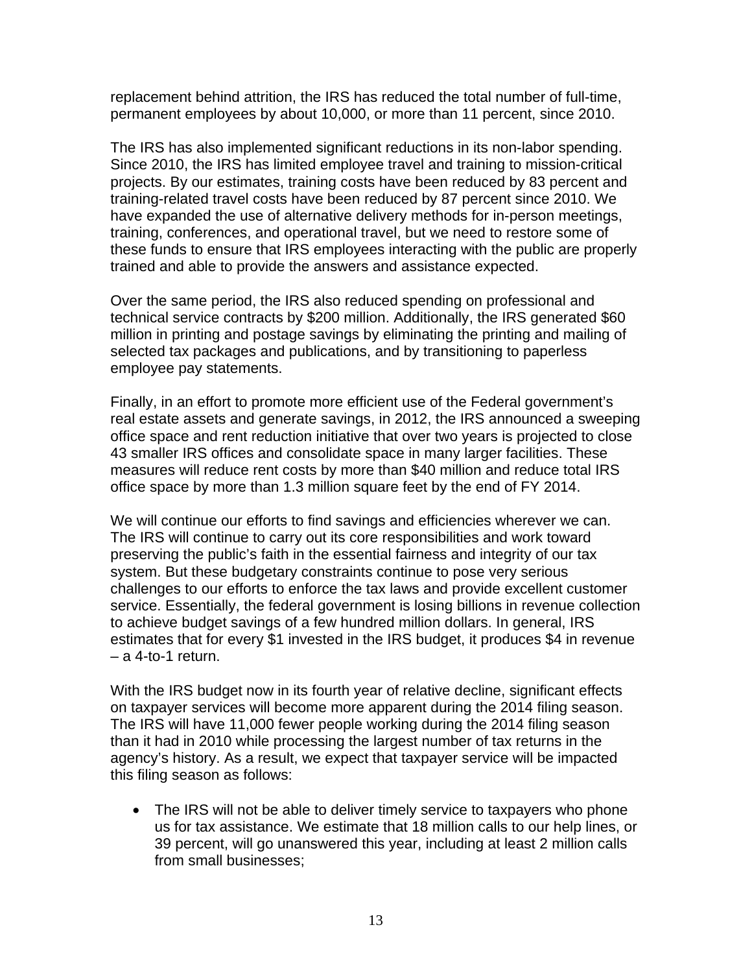replacement behind attrition, the IRS has reduced the total number of full-time, permanent employees by about 10,000, or more than 11 percent, since 2010.

The IRS has also implemented significant reductions in its non-labor spending. Since 2010, the IRS has limited employee travel and training to mission-critical projects. By our estimates, training costs have been reduced by 83 percent and training-related travel costs have been reduced by 87 percent since 2010. We have expanded the use of alternative delivery methods for in-person meetings, training, conferences, and operational travel, but we need to restore some of these funds to ensure that IRS employees interacting with the public are properly trained and able to provide the answers and assistance expected.

Over the same period, the IRS also reduced spending on professional and technical service contracts by \$200 million. Additionally, the IRS generated \$60 million in printing and postage savings by eliminating the printing and mailing of selected tax packages and publications, and by transitioning to paperless employee pay statements.

Finally, in an effort to promote more efficient use of the Federal government's real estate assets and generate savings, in 2012, the IRS announced a sweeping office space and rent reduction initiative that over two years is projected to close 43 smaller IRS offices and consolidate space in many larger facilities. These measures will reduce rent costs by more than \$40 million and reduce total IRS office space by more than 1.3 million square feet by the end of FY 2014.

We will continue our efforts to find savings and efficiencies wherever we can. The IRS will continue to carry out its core responsibilities and work toward preserving the public's faith in the essential fairness and integrity of our tax system. But these budgetary constraints continue to pose very serious challenges to our efforts to enforce the tax laws and provide excellent customer service. Essentially, the federal government is losing billions in revenue collection to achieve budget savings of a few hundred million dollars. In general, IRS estimates that for every \$1 invested in the IRS budget, it produces \$4 in revenue – a 4-to-1 return.

With the IRS budget now in its fourth year of relative decline, significant effects on taxpayer services will become more apparent during the 2014 filing season. The IRS will have 11,000 fewer people working during the 2014 filing season than it had in 2010 while processing the largest number of tax returns in the agency's history. As a result, we expect that taxpayer service will be impacted this filing season as follows:

• The IRS will not be able to deliver timely service to taxpayers who phone us for tax assistance. We estimate that 18 million calls to our help lines, or 39 percent, will go unanswered this year, including at least 2 million calls from small businesses;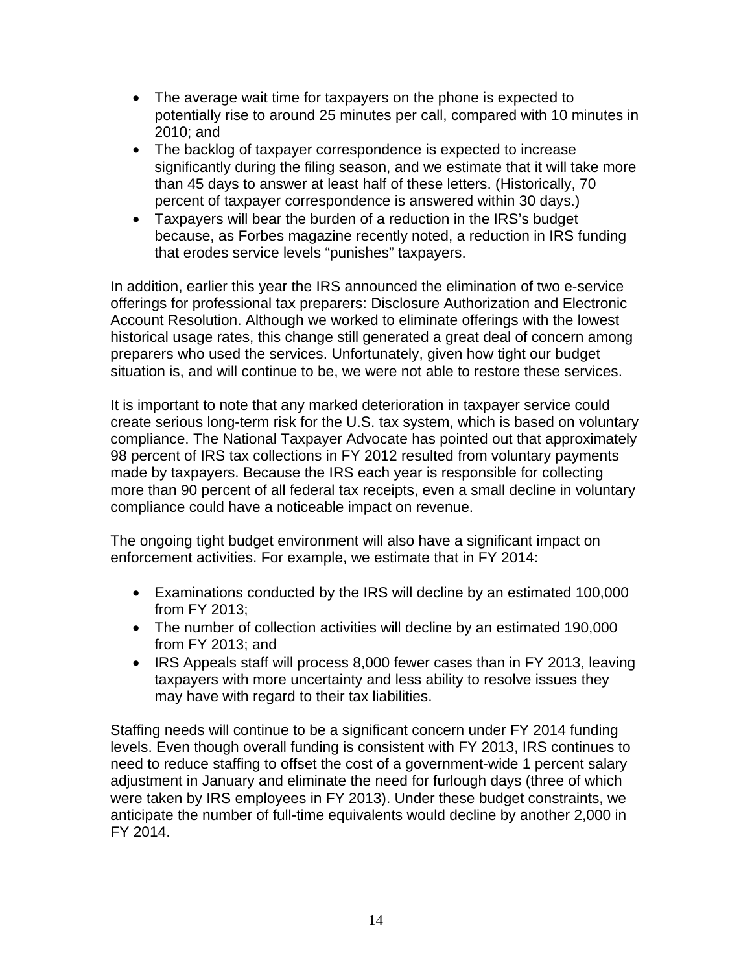- The average wait time for taxpayers on the phone is expected to potentially rise to around 25 minutes per call, compared with 10 minutes in 2010; and
- The backlog of taxpayer correspondence is expected to increase significantly during the filing season, and we estimate that it will take more than 45 days to answer at least half of these letters. (Historically, 70 percent of taxpayer correspondence is answered within 30 days.)
- Taxpayers will bear the burden of a reduction in the IRS's budget because, as Forbes magazine recently noted, a reduction in IRS funding that erodes service levels "punishes" taxpayers.

In addition, earlier this year the IRS announced the elimination of two e-service offerings for professional tax preparers: Disclosure Authorization and Electronic Account Resolution. Although we worked to eliminate offerings with the lowest historical usage rates, this change still generated a great deal of concern among preparers who used the services. Unfortunately, given how tight our budget situation is, and will continue to be, we were not able to restore these services.

It is important to note that any marked deterioration in taxpayer service could create serious long-term risk for the U.S. tax system, which is based on voluntary compliance. The National Taxpayer Advocate has pointed out that approximately 98 percent of IRS tax collections in FY 2012 resulted from voluntary payments made by taxpayers. Because the IRS each year is responsible for collecting more than 90 percent of all federal tax receipts, even a small decline in voluntary compliance could have a noticeable impact on revenue.

The ongoing tight budget environment will also have a significant impact on enforcement activities. For example, we estimate that in FY 2014:

- Examinations conducted by the IRS will decline by an estimated 100,000 from FY 2013;
- The number of collection activities will decline by an estimated 190,000 from FY 2013; and
- IRS Appeals staff will process 8,000 fewer cases than in FY 2013, leaving taxpayers with more uncertainty and less ability to resolve issues they may have with regard to their tax liabilities.

Staffing needs will continue to be a significant concern under FY 2014 funding levels. Even though overall funding is consistent with FY 2013, IRS continues to need to reduce staffing to offset the cost of a government-wide 1 percent salary adjustment in January and eliminate the need for furlough days (three of which were taken by IRS employees in FY 2013). Under these budget constraints, we anticipate the number of full-time equivalents would decline by another 2,000 in FY 2014.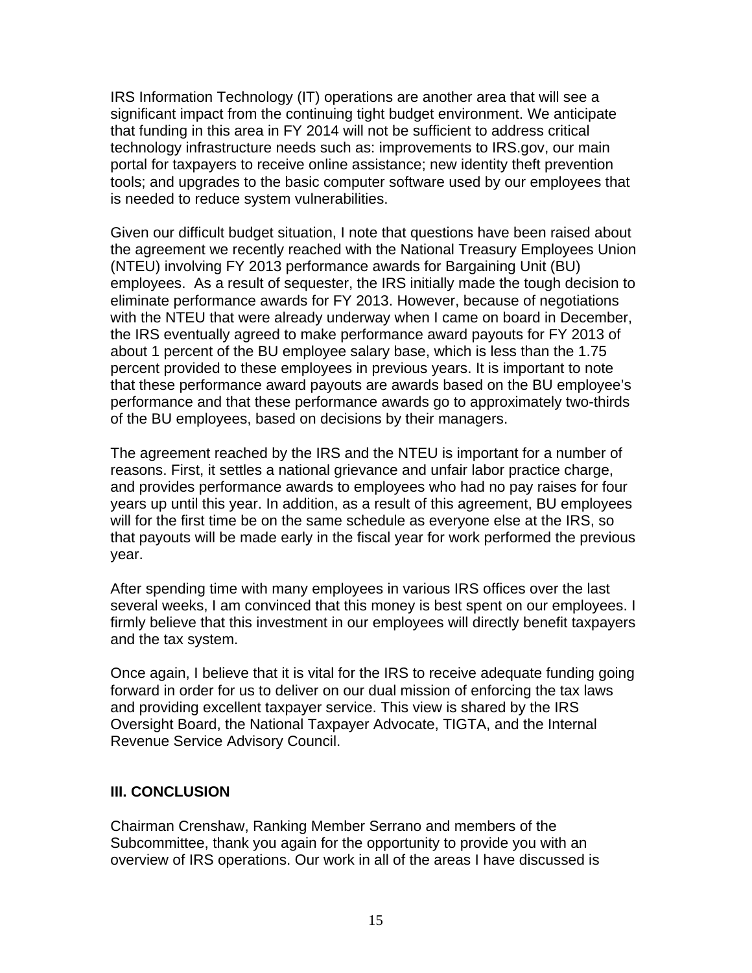IRS Information Technology (IT) operations are another area that will see a significant impact from the continuing tight budget environment. We anticipate that funding in this area in FY 2014 will not be sufficient to address critical technology infrastructure needs such as: improvements to IRS.gov, our main portal for taxpayers to receive online assistance; new identity theft prevention tools; and upgrades to the basic computer software used by our employees that is needed to reduce system vulnerabilities.

Given our difficult budget situation, I note that questions have been raised about the agreement we recently reached with the National Treasury Employees Union (NTEU) involving FY 2013 performance awards for Bargaining Unit (BU) employees. As a result of sequester, the IRS initially made the tough decision to eliminate performance awards for FY 2013. However, because of negotiations with the NTEU that were already underway when I came on board in December, the IRS eventually agreed to make performance award payouts for FY 2013 of about 1 percent of the BU employee salary base, which is less than the 1.75 percent provided to these employees in previous years. It is important to note that these performance award payouts are awards based on the BU employee's performance and that these performance awards go to approximately two-thirds of the BU employees, based on decisions by their managers.

The agreement reached by the IRS and the NTEU is important for a number of reasons. First, it settles a national grievance and unfair labor practice charge, and provides performance awards to employees who had no pay raises for four years up until this year. In addition, as a result of this agreement, BU employees will for the first time be on the same schedule as everyone else at the IRS, so that payouts will be made early in the fiscal year for work performed the previous year.

After spending time with many employees in various IRS offices over the last several weeks, I am convinced that this money is best spent on our employees. I firmly believe that this investment in our employees will directly benefit taxpayers and the tax system.

Once again, I believe that it is vital for the IRS to receive adequate funding going forward in order for us to deliver on our dual mission of enforcing the tax laws and providing excellent taxpayer service. This view is shared by the IRS Oversight Board, the National Taxpayer Advocate, TIGTA, and the Internal Revenue Service Advisory Council.

#### **III. CONCLUSION**

Chairman Crenshaw, Ranking Member Serrano and members of the Subcommittee, thank you again for the opportunity to provide you with an overview of IRS operations. Our work in all of the areas I have discussed is